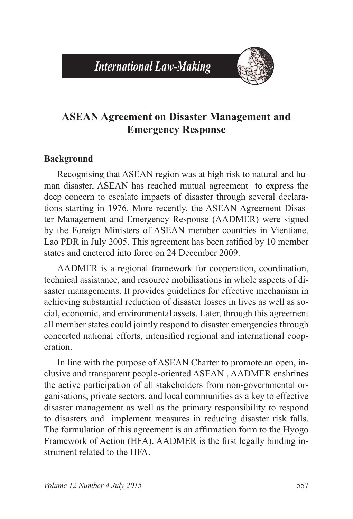# *International Law-Making*



# **ASEAN Agreement on Disaster Management and Emergency Response**

#### **Background**

Recognising that ASEAN region was at high risk to natural and human disaster, ASEAN has reached mutual agreement to express the deep concern to escalate impacts of disaster through several declarations starting in 1976. More recently, the ASEAN Agreement Disaster Management and Emergency Response (AADMER) were signed by the Foreign Ministers of ASEAN member countries in Vientiane, Lao PDR in July 2005. This agreement has been ratified by 10 member states and enetered into force on 24 December 2009.

AADMER is a regional framework for cooperation, coordination, technical assistance, and resource mobilisations in whole aspects of disaster managements. It provides guidelines for effective mechanism in achieving substantial reduction of disaster losses in lives as well as social, economic, and environmental assets. Later, through this agreement all member states could jointly respond to disaster emergencies through concerted national efforts, intensified regional and international cooperation.

In line with the purpose of ASEAN Charter to promote an open, inclusive and transparent people-oriented ASEAN , AADMER enshrines the active participation of all stakeholders from non-governmental organisations, private sectors, and local communities as a key to effective disaster management as well as the primary responsibility to respond to disasters and implement measures in reducing disaster risk falls. The formulation of this agreement is an affirmation form to the Hyogo Framework of Action (HFA). AADMER is the first legally binding instrument related to the HFA.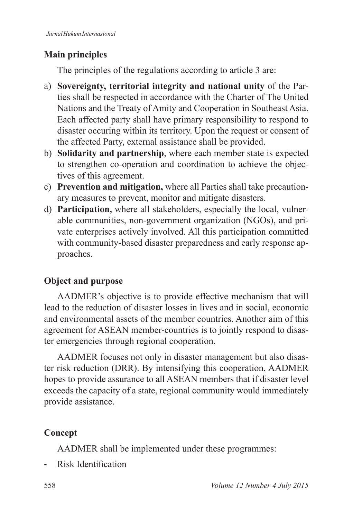# **Main principles**

The principles of the regulations according to article 3 are:

- a) **Sovereignty, territorial integrity and national unity** of the Parties shall be respected in accordance with the Charter of The United Nations and the Treaty of Amity and Cooperation in Southeast Asia. Each affected party shall have primary responsibility to respond to disaster occuring within its territory. Upon the request or consent of the affected Party, external assistance shall be provided.
- b) **Solidarity and partnership**, where each member state is expected to strengthen co-operation and coordination to achieve the objectives of this agreement.
- c) **Prevention and mitigation,** where all Parties shall take precautionary measures to prevent, monitor and mitigate disasters.
- d) **Participation,** where all stakeholders, especially the local, vulnerable communities, non-government organization (NGOs), and private enterprises actively involved. All this participation committed with community-based disaster preparedness and early response approaches.

# **Object and purpose**

AADMER's objective is to provide effective mechanism that will lead to the reduction of disaster losses in lives and in social, economic and environmental assets of the member countries. Another aim of this agreement for ASEAN member-countries is to jointly respond to disaster emergencies through regional cooperation.

AADMER focuses not only in disaster management but also disaster risk reduction (DRR). By intensifying this cooperation, AADMER hopes to provide assurance to all ASEAN members that if disaster level exceeds the capacity of a state, regional community would immediately provide assistance.

# **Concept**

AADMER shall be implemented under these programmes:

**Risk Identification**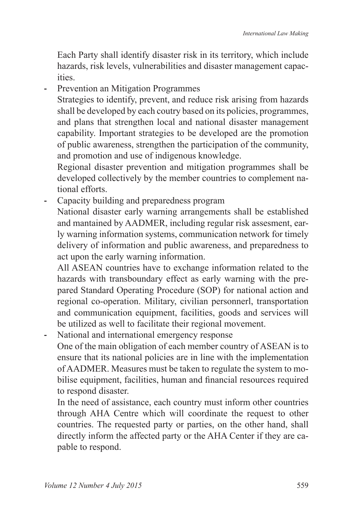Each Party shall identify disaster risk in its territory, which include hazards, risk levels, vulnerabilities and disaster management capacities.

**-** Prevention an Mitigation Programmes

 Strategies to identify, prevent, and reduce risk arising from hazards shall be developed by each coutry based on its policies, programmes, and plans that strengthen local and national disaster management capability. Important strategies to be developed are the promotion of public awareness, strengthen the participation of the community, and promotion and use of indigenous knowledge.

 Regional disaster prevention and mitigation programmes shall be developed collectively by the member countries to complement national efforts.

**-** Capacity building and preparedness program National disaster early warning arrangements shall be established and mantained by AADMER, including regular risk assesment, early warning information systems, communication network for timely delivery of information and public awareness, and preparedness to act upon the early warning information.

 All ASEAN countries have to exchange information related to the hazards with transboundary effect as early warning with the prepared Standard Operating Procedure (SOP) for national action and regional co-operation. Military, civilian personnerl, transportation and communication equipment, facilities, goods and services will be utilized as well to facilitate their regional movement.

**-** National and international emergency response

 One of the main obligation of each member country of ASEAN is to ensure that its national policies are in line with the implementation of AADMER. Measures must be taken to regulate the system to mobilise equipment, facilities, human and financial resources required to respond disaster.

 In the need of assistance, each country must inform other countries through AHA Centre which will coordinate the request to other countries. The requested party or parties, on the other hand, shall directly inform the affected party or the AHA Center if they are capable to respond.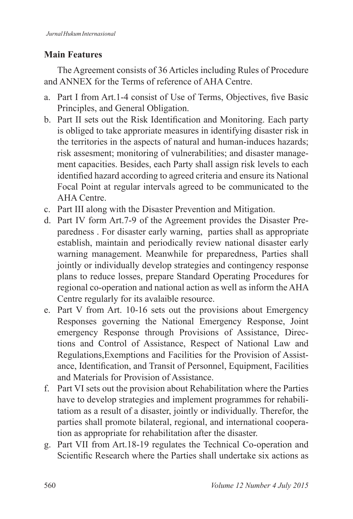### **Main Features**

The Agreement consists of 36 Articles including Rules of Procedure and ANNEX for the Terms of reference of AHA Centre

- a. Part I from Art.1-4 consist of Use of Terms, Objectives, five Basic Principles, and General Obligation.
- b. Part II sets out the Risk Identification and Monitoring. Each party is obliged to take approriate measures in identifying disaster risk in the territories in the aspects of natural and human-induces hazards; risk assesment; monitoring of vulnerabilities; and disaster management capacities. Besides, each Party shall assign risk levels to each identified hazard according to agreed criteria and ensure its National Focal Point at regular intervals agreed to be communicated to the AHA Centre.
- c. Part III along with the Disaster Prevention and Mitigation.
- d. Part IV form Art. 7-9 of the Agreement provides the Disaster Preparedness . For disaster early warning, parties shall as appropriate establish, maintain and periodically review national disaster early warning management. Meanwhile for preparedness, Parties shall jointly or individually develop strategies and contingency response plans to reduce losses, prepare Standard Operating Procedures for regional co-operation and national action as well as inform the AHA Centre regularly for its avalaible resource.
- e. Part V from Art. 10-16 sets out the provisions about Emergency Responses governing the National Emergency Response, Joint emergency Response through Provisions of Assistance, Directions and Control of Assistance, Respect of National Law and Regulations,Exemptions and Facilities for the Provision of Assistance, Identification, and Transit of Personnel, Equipment, Facilities and Materials for Provision of Assistance.
- f. Part VI sets out the provision about Rehabilitation where the Parties have to develop strategies and implement programmes for rehabilitatiom as a result of a disaster, jointly or individually. Therefor, the parties shall promote bilateral, regional, and international cooperation as appropriate for rehabilitation after the disaster.
- g. Part VII from Art.18-19 regulates the Technical Co-operation and Scientific Research where the Parties shall undertake six actions as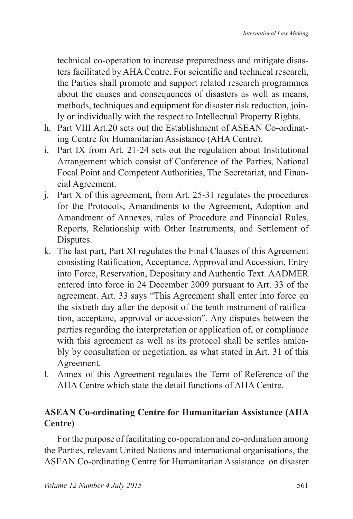technical co-operation to increase preparedness and mitigate disasters facilitated by AHA Centre. For scientific and technical research, the Parties shall promote and support related research programmes about the causes and consequences of disasters as well as means, methods, techniques and equipment for disaster risk reduction, joinly or individually with the respect to Intellectual Property Rights.

- h. Part VIII Art 20 sets out the Establishment of ASEAN Co-ordinating Centre for Humanitarian Assistance (AHA Centre).
- i. Part IX from Art. 21-24 sets out the regulation about Institutional Arrangement which consist of Conference of the Parties, National Focal Point and Competent Authorities, The Secretariat, and Financial Agreement.
- i. Part X of this agreement, from Art. 25-31 regulates the procedures for the Protocols, Amandments to the Agreement, Adoption and Amandment of Annexes, rules of Procedure and Financial Rules, Reports, Relationship with Other Instruments, and Settlement of Disputes.
- k. The last part, Part XI regulates the Final Clauses of this Agreement consisting Ratification, Acceptance, Approval and Accession, Entry into Force, Reservation, Depositary and Authentic Text. AADMER entered into force in 24 December 2009 pursuant to Art. 33 of the agreement. Art. 33 says "This Agreement shall enter into force on the sixtieth day after the deposit of the tenth instrument of ratification, acceptanc, approval or accession". Any disputes between the parties regarding the interpretation or application of, or compliance with this agreement as well as its protocol shall be settles amicably by consultation or negotiation, as what stated in Art. 31 of this Agreement.
- l. Annex of this Agreement regulates the Term of Reference of the AHA Centre which state the detail functions of AHA Centre.

### **ASEAN Co-ordinating Centre for Humanitarian Assistance (AHA Centre)**

For the purpose of facilitating co-operation and co-ordination among the Parties, relevant United Nations and international organisations, the ASEAN Co-ordinating Centre for Humanitarian Assistance on disaster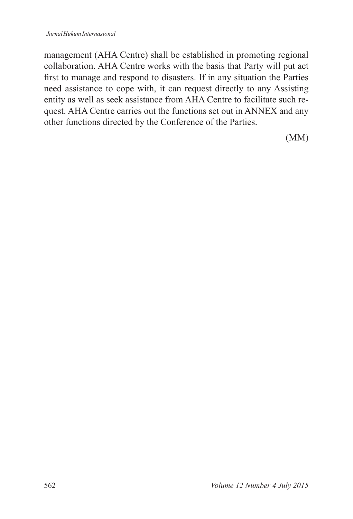management (AHA Centre) shall be established in promoting regional collaboration. AHA Centre works with the basis that Party will put act first to manage and respond to disasters. If in any situation the Parties need assistance to cope with, it can request directly to any Assisting entity as well as seek assistance from AHA Centre to facilitate such request. AHA Centre carries out the functions set out in ANNEX and any other functions directed by the Conference of the Parties.

(MM)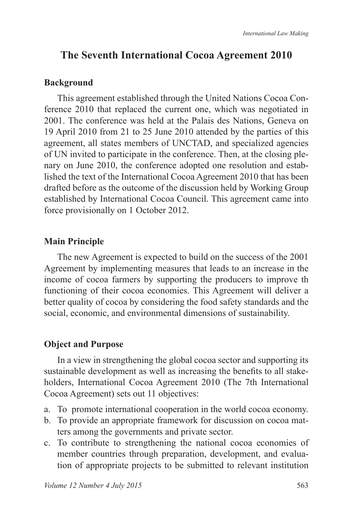### **The Seventh International Cocoa Agreement 2010**

#### **Background**

This agreement established through the United Nations Cocoa Conference 2010 that replaced the current one, which was negotiated in 2001. The conference was held at the Palais des Nations. Geneva on 19 April 2010 from 21 to 25 June 2010 attended by the parties of this agreement, all states members of UNCTAD, and specialized agencies of UN invited to participate in the conference. Then, at the closing plenary on June 2010, the conference adopted one resolution and established the text of the International Cocoa Agreement 2010 that has been drafted before as the outcome of the discussion held by Working Group established by International Cocoa Council. This agreement came into force provisionally on 1 October 2012.

#### **Main Principle**

The new Agreement is expected to build on the success of the 2001 Agreement by implementing measures that leads to an increase in the income of cocoa farmers by supporting the producers to improve th functioning of their cocoa economies. This Agreement will deliver a better quality of cocoa by considering the food safety standards and the social, economic, and environmental dimensions of sustainability.

#### **Object and Purpose**

In a view in strengthening the global cocoa sector and supporting its sustainable development as well as increasing the benefits to all stakeholders, International Cocoa Agreement 2010 (The 7th International Cocoa Agreement) sets out 11 objectives:

- a. To promote international cooperation in the world cocoa economy.
- b. To provide an appropriate framework for discussion on cocoa matters among the governments and private sector.
- c. To contribute to strengthening the national cocoa economies of member countries through preparation, development, and evaluation of appropriate projects to be submitted to relevant institution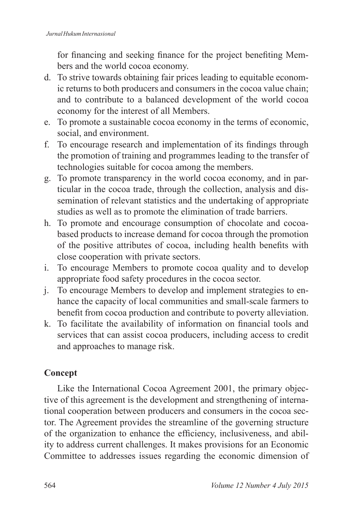for financing and seeking finance for the project benefiting Members and the world cocoa economy.

- d. To strive towards obtaining fair prices leading to equitable economic returns to both producers and consumers in the cocoa value chain; and to contribute to a balanced development of the world cocoa economy for the interest of all Members.
- e. To promote a sustainable cocoa economy in the terms of economic, social, and environment.
- f. To encourage research and implementation of its findings through the promotion of training and programmes leading to the transfer of technologies suitable for cocoa among the members.
- g. To promote transparency in the world cocoa economy, and in particular in the cocoa trade, through the collection, analysis and dissemination of relevant statistics and the undertaking of appropriate studies as well as to promote the elimination of trade barriers.
- h. To promote and encourage consumption of chocolate and cocoabased products to increase demand for cocoa through the promotion of the positive attributes of cocoa, including health benefits with close cooperation with private sectors.
- i. To encourage Members to promote cocoa quality and to develop appropriate food safety procedures in the cocoa sector.
- j. To encourage Members to develop and implement strategies to enhance the capacity of local communities and small-scale farmers to benefit from cocoa production and contribute to poverty alleviation.
- k. To facilitate the availability of information on financial tools and services that can assist cocoa producers, including access to credit and approaches to manage risk.

### **Concept**

Like the International Cocoa Agreement 2001, the primary objective of this agreement is the development and strengthening of international cooperation between producers and consumers in the cocoa sector. The Agreement provides the streamline of the governing structure of the organization to enhance the efficiency, inclusiveness, and ability to address current challenges. It makes provisions for an Economic Committee to addresses issues regarding the economic dimension of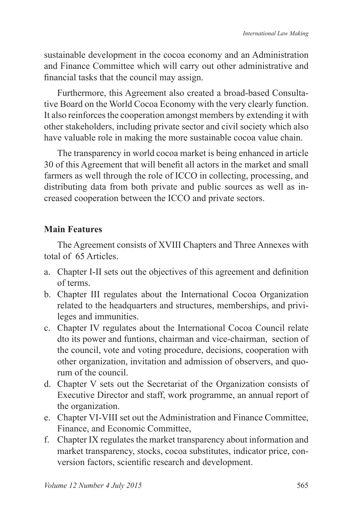sustainable development in the cocoa economy and an Administration and Finance Committee which will carry out other administrative and financial tasks that the council may assign.

Furthermore, this Agreement also created a broad-based Consultative Board on the World Cocoa Economy with the very clearly function. It also reinforces the cooperation amongst members by extending it with other stakeholders, including private sector and civil society which also have valuable role in making the more sustainable cocoa value chain.

The transparency in world cocoa market is being enhanced in article 30 of this Agreement that will benefit all actors in the market and small farmers as well through the role of ICCO in collecting, processing, and distributing data from both private and public sources as well as increased cooperation between the ICCO and private sectors.

### **Main Features**

The Agreement consists of XVIII Chapters and Three Annexes with total of 65 Articles.

- a. Chapter I-II sets out the objectives of this agreement and definition of terms.
- b. Chapter III regulates about the International Cocoa Organization related to the headquarters and structures, memberships, and privileges and immunities.
- c. Chapter IV regulates about the International Cocoa Council relate dto its power and funtions, chairman and vice-chairman, section of the council, vote and voting procedure, decisions, cooperation with other organization, invitation and admission of observers, and quorum of the council.
- d. Chapter V sets out the Secretariat of the Organization consists of Executive Director and staff, work programme, an annual report of the organization.
- e. Chapter VI-VIII set out the Administration and Finance Committee, Finance, and Economic Committee,
- f. Chapter IX regulates the market transparency about information and market transparency, stocks, cocoa substitutes, indicator price, conversion factors, scientific research and development.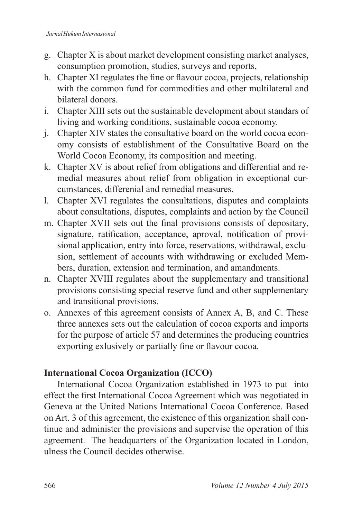- g. Chapter X is about market development consisting market analyses, consumption promotion, studies, surveys and reports,
- h. Chapter XI regulates the fine or flavour cocoa, projects, relationship with the common fund for commodities and other multilateral and bilateral donors.
- i. Chapter XIII sets out the sustainable development about standars of living and working conditions, sustainable cocoa economy.
- i. Chapter XIV states the consultative board on the world cocoa economy consists of establishment of the Consultative Board on the World Cocoa Economy, its composition and meeting.
- k. Chapter XV is about relief from obligations and differential and remedial measures about relief from obligation in exceptional curcumstances, differenial and remedial measures.
- 1. Chapter XVI regulates the consultations, disputes and complaints about consultations, disputes, complaints and action by the Council
- m. Chapter XVII sets out the final provisions consists of depositary, signature, ratification, acceptance, aproval, notification of provisional application, entry into force, reservations, withdrawal, exclusion, settlement of accounts with withdrawing or excluded Members, duration, extension and termination, and amandments.
- n. Chapter XVIII regulates about the supplementary and transitional provisions consisting special reserve fund and other supplementary and transitional provisions.
- o. Annexes of this agreement consists of Annex A, B, and C. These three annexes sets out the calculation of cocoa exports and imports for the purpose of article 57 and determines the producing countries exporting exlusively or partially fine or flavour cocoa.

### **International Cocoa Organization (ICCO)**

International Cocoa Organization established in 1973 to put into effect the first International Cocoa Agreement which was negotiated in Geneva at the United Nations International Cocoa Conference. Based on Art. 3 of this agreement, the existence of this organization shall continue and administer the provisions and supervise the operation of this agreement. The headquarters of the Organization located in London, ulness the Council decides otherwise.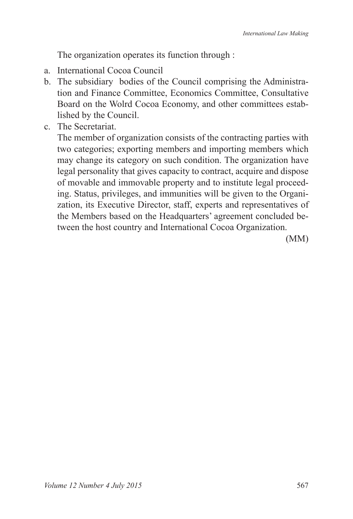The organization operates its function through :

- a. International Cocoa Council
- b. The subsidiary bodies of the Council comprising the Administration and Finance Committee, Economics Committee, Consultative Board on the Wolrd Cocoa Economy, and other committees established by the Council.
- c. The Secretariat.

 The member of organization consists of the contracting parties with two categories; exporting members and importing members which may change its category on such condition. The organization have legal personality that gives capacity to contract, acquire and dispose of movable and immovable property and to institute legal proceeding. Status, privileges, and immunities will be given to the Organization, its Executive Director, staff, experts and representatives of the Members based on the Headquarters' agreement concluded between the host country and International Cocoa Organization.

(MM)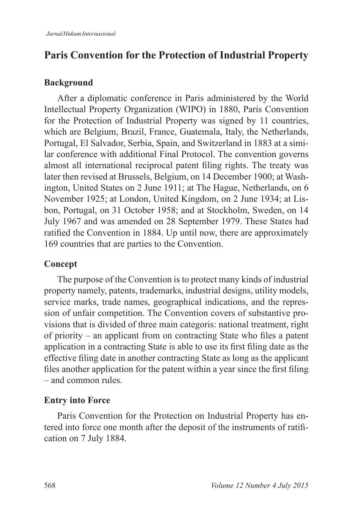# **Paris Convention for the Protection of Industrial Property**

#### **Background**

After a diplomatic conference in Paris administered by the World Intellectual Property Organization (WIPO) in 1880, Paris Convention for the Protection of Industrial Property was signed by 11 countries, which are Belgium, Brazil, France, Guatemala, Italy, the Netherlands, Portugal, El Salvador, Serbia, Spain, and Switzerland in 1883 at a similar conference with additional Final Protocol. The convention governs almost all international reciprocal patent filing rights. The treaty was later then revised at Brussels, Belgium, on 14 December 1900; at Washington, United States on 2 June 1911; at The Hague, Netherlands, on 6 November 1925; at London, United Kingdom, on 2 June 1934; at Lisbon, Portugal, on 31 October 1958; and at Stockholm, Sweden, on 14 July 1967 and was amended on 28 September 1979. These States had ratified the Convention in 1884. Up until now, there are approximately 169 countries that are parties to the Convention.

#### **Concept**

The purpose of the Convention is to protect many kinds of industrial property namely, patents, trademarks, industrial designs, utility models, service marks, trade names, geographical indications, and the repression of unfair competition. The Convention covers of substantive provisions that is divided of three main categoris: national treatment, right of priority  $-$  an applicant from on contracting State who files a patent application in a contracting State is able to use its first filing date as the effective filing date in another contracting State as long as the applicant files another application for the patent within a year since the first filing  $-$  and common rules.

#### **Entry into Force**

Paris Convention for the Protection on Industrial Property has entered into force one month after the deposit of the instruments of ratification on 7 July 1884.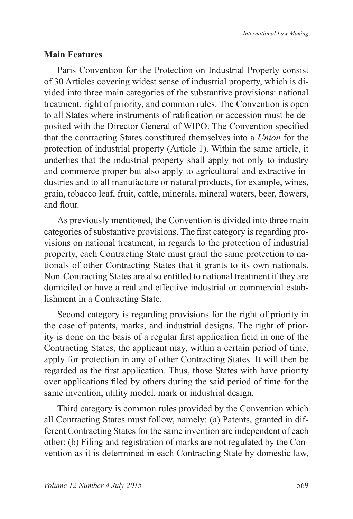#### **Main Features**

Paris Convention for the Protection on Industrial Property consist of 30 Articles covering widest sense of industrial property, which is divided into three main categories of the substantive provisions: national treatment, right of priority, and common rules. The Convention is open to all States where instruments of ratification or accession must be deposited with the Director General of WIPO. The Convention specified that the contracting States constituted themselves into a *Union* for the protection of industrial property (Article 1). Within the same article, it underlies that the industrial property shall apply not only to industry and commerce proper but also apply to agricultural and extractive industries and to all manufacture or natural products, for example, wines, grain, tobacco leaf, fruit, cattle, minerals, mineral waters, beer, flowers, and flour

As previously mentioned, the Convention is divided into three main categories of substantive provisions. The first category is regarding provisions on national treatment, in regards to the protection of industrial property, each Contracting State must grant the same protection to nationals of other Contracting States that it grants to its own nationals. Non-Contracting States are also entitled to national treatment if they are domiciled or have a real and effective industrial or commercial establishment in a Contracting State.

Second category is regarding provisions for the right of priority in the case of patents, marks, and industrial designs. The right of priority is done on the basis of a regular first application field in one of the Contracting States, the applicant may, within a certain period of time, apply for protection in any of other Contracting States. It will then be regarded as the first application. Thus, those States with have priority over applications filed by others during the said period of time for the same invention, utility model, mark or industrial design.

Third category is common rules provided by the Convention which all Contracting States must follow, namely: (a) Patents, granted in different Contracting States for the same invention are independent of each other; (b) Filing and registration of marks are not regulated by the Convention as it is determined in each Contracting State by domestic law,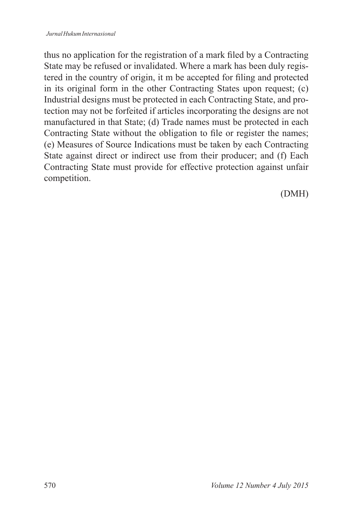thus no application for the registration of a mark filed by a Contracting State may be refused or invalidated. Where a mark has been duly registered in the country of origin, it m be accepted for filing and protected in its original form in the other Contracting States upon request; (c) Industrial designs must be protected in each Contracting State, and protection may not be forfeited if articles incorporating the designs are not manufactured in that State; (d) Trade names must be protected in each Contracting State without the obligation to file or register the names; (e) Measures of Source Indications must be taken by each Contracting State against direct or indirect use from their producer; and (f) Each Contracting State must provide for effective protection against unfair competition.

(DMH)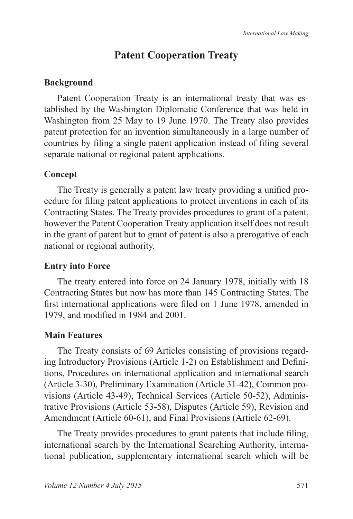# **Patent Cooperation Treaty**

### **Background**

Patent Cooperation Treaty is an international treaty that was established by the Washington Diplomatic Conference that was held in Washington from 25 May to 19 June 1970. The Treaty also provides patent protection for an invention simultaneously in a large number of countries by filing a single patent application instead of filing several separate national or regional patent applications.

### **Concept**

The Treaty is generally a patent law treaty providing a unified procedure for filing patent applications to protect inventions in each of its Contracting States. The Treaty provides procedures to grant of a patent, however the Patent Cooperation Treaty application itself does not result in the grant of patent but to grant of patent is also a prerogative of each national or regional authority.

### **Entry into Force**

The treaty entered into force on 24 January 1978, initially with 18 Contracting States but now has more than 145 Contracting States. The first international applications were filed on 1 June 1978, amended in 1979, and modified in 1984 and 2001.

### **Main Features**

The Treaty consists of 69 Articles consisting of provisions regarding Introductory Provisions (Article 1-2) on Establishment and Definitions, Procedures on international application and international search (Article 3-30), Preliminary Examination (Article 31-42), Common provisions (Article 43-49), Technical Services (Article 50-52), Administrative Provisions (Article 53-58), Disputes (Article 59), Revision and Amendment (Article 60-61), and Final Provisions (Article 62-69).

The Treaty provides procedures to grant patents that include filing, international search by the International Searching Authority, international publication, supplementary international search which will be